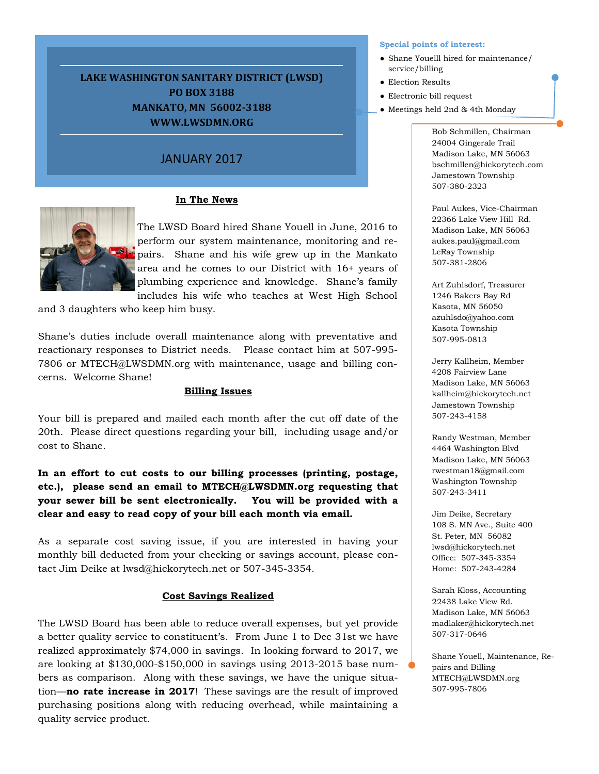# **LAKE WASHINGTON SANITARY DISTRICT (LWSD) PO BOX 3188 MANKATO, MN 56002-3188 WWW.LWSDMN.ORG**

# JANUARY 2017

# **In The News**



The LWSD Board hired Shane Youell in June, 2016 to perform our system maintenance, monitoring and repairs. Shane and his wife grew up in the Mankato area and he comes to our District with 16+ years of plumbing experience and knowledge. Shane's family includes his wife who teaches at West High School

and 3 daughters who keep him busy.

Shane's duties include overall maintenance along with preventative and reactionary responses to District needs. Please contact him at 507-995- 7806 or MTECH@LWSDMN.org with maintenance, usage and billing concerns. Welcome Shane!

### **Billing Issues**

Your bill is prepared and mailed each month after the cut off date of the 20th. Please direct questions regarding your bill, including usage and/or cost to Shane.

**In an effort to cut costs to our billing processes (printing, postage, etc.), please send an email to MTECH@LWSDMN.org requesting that your sewer bill be sent electronically. You will be provided with a clear and easy to read copy of your bill each month via email.**

As a separate cost saving issue, if you are interested in having your monthly bill deducted from your checking or savings account, please contact Jim Deike at lwsd@hickorytech.net or 507-345-3354.

# **Cost Savings Realized**

The LWSD Board has been able to reduce overall expenses, but yet provide a better quality service to constituent's. From June 1 to Dec 31st we have realized approximately \$74,000 in savings. In looking forward to 2017, we are looking at \$130,000-\$150,000 in savings using 2013-2015 base numbers as comparison. Along with these savings, we have the unique situation—**no rate increase in 2017**! These savings are the result of improved purchasing positions along with reducing overhead, while maintaining a quality service product.

#### **Special points of interest:**

- Shane Youelll hired for maintenance/ service/billing
- Election Results
- Electronic bill request
- Meetings held 2nd & 4th Monday

Bob Schmillen, Chairman 24004 Gingerale Trail Madison Lake, MN 56063 bschmillen@hickorytech.com Jamestown Township 507-380-2323

Paul Aukes, Vice-Chairman 22366 Lake View Hill Rd. Madison Lake, MN 56063 aukes.paul@gmail.com LeRay Township 507-381-2806

Art Zuhlsdorf, Treasurer 1246 Bakers Bay Rd Kasota, MN 56050 azuhlsdo@yahoo.com Kasota Township 507-995-0813

Jerry Kallheim, Member 4208 Fairview Lane Madison Lake, MN 56063 kallheim@hickorytech.net Jamestown Township 507-243-4158

Randy Westman, Member 4464 Washington Blvd Madison Lake, MN 56063 rwestman18@gmail.com Washington Township 507-243-3411

Jim Deike, Secretary 108 S. MN Ave., Suite 400 St. Peter, MN 56082 lwsd@hickorytech.net Office: 507-345-3354 Home: 507-243-4284

Sarah Kloss, Accounting 22438 Lake View Rd. Madison Lake, MN 56063 madlaker@hickorytech.net 507-317-0646

Shane Youell, Maintenance, Repairs and Billing MTECH@LWSDMN.org 507-995-7806